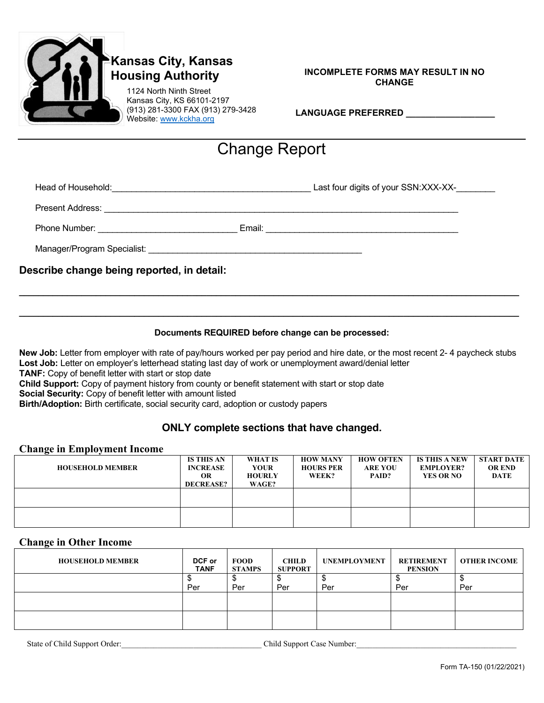

# **Kansas City, Kansas Housing Authority**

1124 North Ninth Street Kansas City, KS 66101-2197 (913) 281-3300 FAX (913) 279-3428 Website: www.kckha.org

#### **INCOMPLETE FORMS MAY RESULT IN NO CHANGE**

| <b>LANGUAGE PREFERRED</b> |  |  |  |  |
|---------------------------|--|--|--|--|
|                           |  |  |  |  |

# Change Report

Head of Household:\_\_\_\_\_\_\_\_\_\_\_\_\_\_\_\_\_\_\_\_\_\_\_\_\_\_\_\_\_\_\_\_\_\_\_\_\_\_\_\_\_ Last four digits of your SSN:XXX-XX-\_\_\_\_\_\_\_\_

Present Address: \_\_\_\_\_\_\_\_\_\_\_\_\_\_\_\_\_\_\_\_\_\_\_\_\_\_\_\_\_\_\_\_\_\_\_\_\_\_\_\_\_\_\_\_\_\_\_\_\_\_\_\_\_\_\_\_\_\_\_\_\_\_\_\_\_\_\_\_\_\_\_\_\_

Phone Number: \_\_\_\_\_\_\_\_\_\_\_\_\_\_\_\_\_\_\_\_\_\_\_\_\_\_\_\_\_ Email: \_\_\_\_\_\_\_\_\_\_\_\_\_\_\_\_\_\_\_\_\_\_\_\_\_\_\_\_\_\_\_\_\_\_\_\_\_\_\_\_

Manager/Program Specialist:

**Describe change being reported, in detail:**

## **Documents REQUIRED before change can be processed:**

**\_\_\_\_\_\_\_\_\_\_\_\_\_\_\_\_\_\_\_\_\_\_\_\_\_\_\_\_\_\_\_\_\_\_\_\_\_\_\_\_\_\_\_\_\_\_\_\_\_\_\_\_\_\_\_\_\_\_\_\_\_\_\_\_\_\_\_\_\_\_\_\_\_\_\_\_\_\_\_\_\_\_\_\_\_\_\_\_\_\_\_\_\_\_\_\_\_\_\_\_\_\_\_\_**

**\_\_\_\_\_\_\_\_\_\_\_\_\_\_\_\_\_\_\_\_\_\_\_\_\_\_\_\_\_\_\_\_\_\_\_\_\_\_\_\_\_\_\_\_\_\_\_\_\_\_\_\_\_\_\_\_\_\_\_\_\_\_\_\_\_\_\_\_\_\_\_\_\_\_\_\_\_\_\_\_\_\_\_\_\_\_\_\_\_\_\_\_\_\_\_\_\_\_\_\_\_\_\_\_**

**New Job:** Letter from employer with rate of pay/hours worked per pay period and hire date, or the most recent 2- 4 paycheck stubs Lost Job: Letter on employer's letterhead stating last day of work or unemployment award/denial letter

**TANF:** Copy of benefit letter with start or stop date

**Child Support:** Copy of payment history from county or benefit statement with start or stop date

**Social Security:** Copy of benefit letter with amount listed

**Birth/Adoption:** Birth certificate, social security card, adoption or custody papers

## **ONLY complete sections that have changed.**

## **Change in Employment Income**

| $\overline{\phantom{a}}$ |                                      |                        |                                     |                                    |                                          |                                    |
|--------------------------|--------------------------------------|------------------------|-------------------------------------|------------------------------------|------------------------------------------|------------------------------------|
| <b>HOUSEHOLD MEMBER</b>  | <b>IS THIS AN</b><br><b>INCREASE</b> | WHAT IS<br><b>YOUR</b> | <b>HOW MANY</b><br><b>HOURS PER</b> | <b>HOW OFTEN</b><br><b>ARE YOU</b> | <b>IS THIS A NEW</b><br><b>EMPLOYER?</b> | <b>START DATE</b><br><b>OR END</b> |
|                          | <b>OR</b>                            | <b>HOURLY</b>          | WEEK?                               | PAID?                              | <b>YES OR NO</b>                         | DATE                               |
|                          | <b>DECREASE?</b>                     | WAGE?                  |                                     |                                    |                                          |                                    |
|                          |                                      |                        |                                     |                                    |                                          |                                    |
|                          |                                      |                        |                                     |                                    |                                          |                                    |
|                          |                                      |                        |                                     |                                    |                                          |                                    |
|                          |                                      |                        |                                     |                                    |                                          |                                    |
|                          |                                      |                        |                                     |                                    |                                          |                                    |

## **Change in Other Income**

| DCF or<br><b>TANF</b> | <b>FOOD</b><br><b>STAMPS</b> | <b>CHILD</b><br><b>SUPPORT</b> | UNEMPLOYMENT | <b>RETIREMENT</b><br><b>PENSION</b> | <b>OTHER INCOME</b> |
|-----------------------|------------------------------|--------------------------------|--------------|-------------------------------------|---------------------|
|                       |                              |                                |              |                                     |                     |
|                       |                              |                                |              |                                     | Per                 |
|                       |                              |                                |              |                                     |                     |
|                       |                              |                                |              |                                     |                     |
|                       | Per                          | Per                            | Per          | Per                                 | Per                 |

State of Child Support Order: <br>
Child Support Case Number: